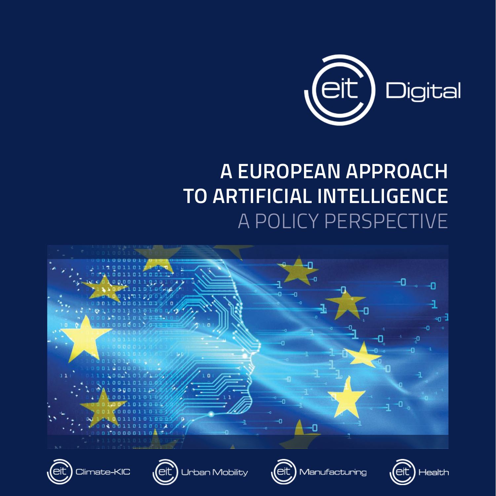

### **A EUROPEAN APPROACH TO ARTIFICIAL INTELLIGENCE** A POLICY PERSPECTIVE

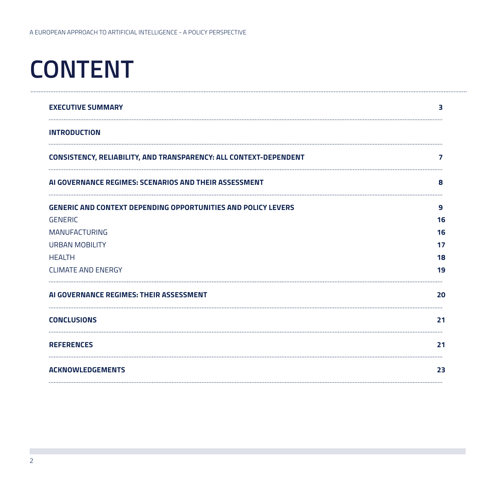## **CONTENT**

| <b>EXECUTIVE SUMMARY</b>                                             | 3  |
|----------------------------------------------------------------------|----|
| <b>INTRODUCTION</b>                                                  |    |
| CONSISTENCY, RELIABILITY, AND TRANSPARENCY: ALL CONTEXT-DEPENDENT    | 7  |
| AI GOVERNANCE REGIMES: SCENARIOS AND THEIR ASSESSMENT                | 8  |
| <b>GENERIC AND CONTEXT DEPENDING OPPORTUNITIES AND POLICY LEVERS</b> | 9  |
| <b>GENERIC</b>                                                       | 16 |
| <b>MANUFACTURING</b>                                                 | 16 |
| <b>URBAN MOBILITY</b>                                                | 17 |
| <b>HEALTH</b>                                                        | 18 |
| <b>CLIMATE AND ENERGY</b>                                            | 19 |
| AI GOVERNANCE REGIMES: THEIR ASSESSMENT                              | 20 |
| <b>CONCLUSIONS</b>                                                   | 21 |
| <b>REFERENCES</b>                                                    | 21 |
| <b>ACKNOWLEDGEMENTS</b>                                              | 23 |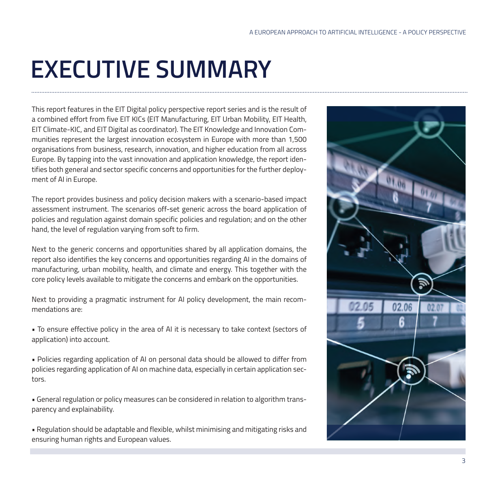## **EXECUTIVE SUMMARY**

This report features in the EIT Digital policy perspective report series and is the result of a combined effort from five EIT KICs (EIT Manufacturing, EIT Urban Mobility, EIT Health, EIT Climate-KIC, and EIT Digital as coordinator). The EIT Knowledge and Innovation Communities represent the largest innovation ecosystem in Europe with more than 1,500 organisations from business, research, innovation, and higher education from all across Europe. By tapping into the vast innovation and application knowledge, the report identifies both general and sector specific concerns and opportunities for the further deployment of AI in Europe.

The report provides business and policy decision makers with a scenario-based impact assessment instrument. The scenarios off-set generic across the board application of policies and regulation against domain specific policies and regulation; and on the other hand, the level of regulation varying from soft to firm.

Next to the generic concerns and opportunities shared by all application domains, the report also identifies the key concerns and opportunities regarding AI in the domains of manufacturing, urban mobility, health, and climate and energy. This together with the core policy levels available to mitigate the concerns and embark on the opportunities.

Next to providing a pragmatic instrument for AI policy development, the main recommendations are:

• To ensure effective policy in the area of AI it is necessary to take context (sectors of application) into account.

• Policies regarding application of AI on personal data should be allowed to differ from policies regarding application of AI on machine data, especially in certain application sectors.

• General regulation or policy measures can be considered in relation to algorithm transparency and explainability.

• Regulation should be adaptable and flexible, whilst minimising and mitigating risks and ensuring human rights and European values.

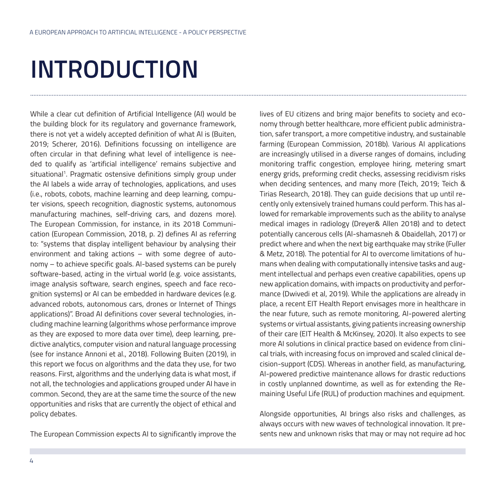## **INTRODUCTION**

While a clear cut definition of Artificial Intelligence (AI) would be the building block for its regulatory and governance framework, there is not yet a widely accepted definition of what AI is (Buiten, 2019; Scherer, 2016). Definitions focussing on intelligence are often circular in that defining what level of intelligence is needed to qualify as 'artificial intelligence' remains subjective and situational<sup>1</sup>. Pragmatic ostensive definitions simply group under the AI labels a wide array of technologies, applications, and uses (i.e., robots, cobots, machine learning and deep learning, computer visions, speech recognition, diagnostic systems, autonomous manufacturing machines, self-driving cars, and dozens more). The European Commission, for instance, in its 2018 Communication (European Commission, 2018, p. 2) defines AI as referring to: "systems that display intelligent behaviour by analysing their environment and taking actions – with some degree of autonomy – to achieve specific goals. AI-based systems can be purely software-based, acting in the virtual world (e.g. voice assistants, image analysis software, search engines, speech and face recognition systems) or AI can be embedded in hardware devices (e.g. advanced robots, autonomous cars, drones or Internet of Things applications)". Broad AI definitions cover several technologies, including machine learning (algorithms whose performance improve as they are exposed to more data over time), deep learning, predictive analytics, computer vision and natural language processing (see for instance Annoni et al., 2018). Following Buiten (2019), in this report we focus on algorithms and the data they use, for two reasons. First, algorithms and the underlying data is what most, if not all, the technologies and applications grouped under AI have in common. Second, they are at the same time the source of the new opportunities and risks that are currently the object of ethical and policy debates.

The European Commission expects AI to significantly improve the

lives of EU citizens and bring major benefits to society and economy through better healthcare, more efficient public administration, safer transport, a more competitive industry, and sustainable farming (European Commission, 2018b). Various AI applications are increasingly utilised in a diverse ranges of domains, including monitoring traffic congestion, employee hiring, metering smart energy grids, preforming credit checks, assessing recidivism risks when deciding sentences, and many more (Teich, 2019; Teich & Tirias Research, 2018). They can guide decisions that up until recently only extensively trained humans could perform. This has allowed for remarkable improvements such as the ability to analyse medical images in radiology (Dreyer& Allen 2018) and to detect potentially cancerous cells (Al-shamasneh & Obaidellah, 2017) or predict where and when the next big earthquake may strike (Fuller & Metz, 2018). The potential for AI to overcome limitations of humans when dealing with computationally intensive tasks and augment intellectual and perhaps even creative capabilities, opens up new application domains, with impacts on productivity and performance (Dwivedi et al, 2019). While the applications are already in place, a recent EIT Health Report envisages more in healthcare in the near future, such as remote monitoring, AI-powered alerting systems or virtual assistants, giving patients increasing ownership of their care (EIT Health & McKinsey, 2020). It also expects to see more AI solutions in clinical practice based on evidence from clinical trials, with increasing focus on improved and scaled clinical decision-support (CDS). Whereas in another field, as manufacturing, AI-powered predictive maintenance allows for drastic reductions in costly unplanned downtime, as well as for extending the Remaining Useful Life (RUL) of production machines and equipment.

Alongside opportunities, AI brings also risks and challenges, as always occurs with new waves of technological innovation. It presents new and unknown risks that may or may not require ad hoc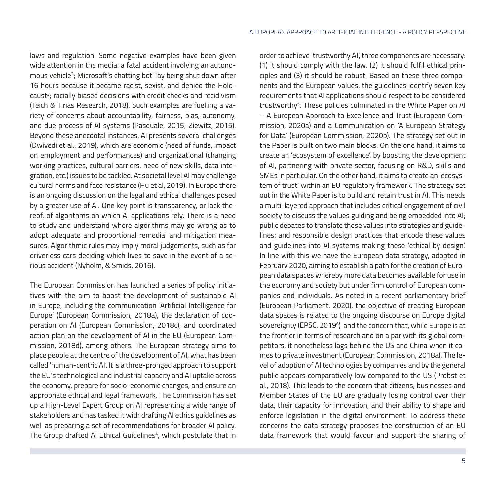laws and regulation. Some negative examples have been given wide attention in the media: a fatal accident involving an autonomous vehicle<sup>2</sup>; Microsoft's chatting bot Tay being shut down after 16 hours because it became racist, sexist, and denied the Holocaust<sup>3</sup>; racially biased decisions with credit checks and recidivism (Teich & Tirias Research, 2018). Such examples are fuelling a variety of concerns about accountability, fairness, bias, autonomy, and due process of AI systems (Pasquale, 2015; Ziewitz, 2015). Beyond these anecdotal instances, AI presents several challenges (Dwivedi et al., 2019), which are economic (need of funds, impact on employment and performances) and organizational (changing working practices, cultural barriers, need of new skills, data integration, etc.) issues to be tackled. At societal level AI may challenge cultural norms and face resistance (Hu et al, 2019). In Europe there is an ongoing discussion on the legal and ethical challenges posed by a greater use of AI. One key point is transparency, or lack thereof, of algorithms on which AI applications rely. There is a need to study and understand where algorithms may go wrong as to adopt adequate and proportional remedial and mitigation measures. Algorithmic rules may imply moral judgements, such as for driverless cars deciding which lives to save in the event of a serious accident (Nyholm, & Smids, 2016).

The European Commission has launched a series of policy initiatives with the aim to boost the development of sustainable AI in Europe, including the communication 'Artificial Intelligence for Europe' (European Commission, 2018a), the declaration of cooperation on AI (European Commission, 2018c), and coordinated action plan on the development of AI in the EU (European Commission, 2018d), among others. The European strategy aims to place people at the centre of the development of AI, what has been called 'human-centric AI'. It is a three-pronged approach to support the EU's technological and industrial capacity and AI uptake across the economy, prepare for socio-economic changes, and ensure an appropriate ethical and legal framework. The Commission has set up a High-Level Expert Group on AI representing a wide range of stakeholders and has tasked it with drafting AI ethics guidelines as well as preparing a set of recommendations for broader AI policy. The Group drafted AI Ethical Guidelines<sup>4</sup>, which postulate that in order to achieve 'trustworthy AI', three components are necessary: (1) it should comply with the law, (2) it should fulfil ethical principles and (3) it should be robust. Based on these three components and the European values, the guidelines identify seven key requirements that AI applications should respect to be considered trustworthy<sup>5</sup>. These policies culminated in the White Paper on AI – A European Approach to Excellence and Trust (European Commission, 2020a) and a Communication on 'A European Strategy for Data' (European Commission, 2020b). The strategy set out in the Paper is built on two main blocks. On the one hand, it aims to create an 'ecosystem of excellence', by boosting the development of AI, partnering with private sector, focusing on R&D, skills and SMEs in particular. On the other hand, it aims to create an 'ecosystem of trust' within an EU regulatory framework. The strategy set out in the White Paper is to build and retain trust in AI. This needs a multi-layered approach that includes critical engagement of civil society to discuss the values guiding and being embedded into AI; public debates to translate these values into strategies and guidelines; and responsible design practices that encode these values and guidelines into AI systems making these 'ethical by design'. In line with this we have the European data strategy, adopted in February 2020, aiming to establish a path for the creation of European data spaces whereby more data becomes available for use in the economy and society but under firm control of European companies and individuals. As noted in a recent parliamentary brief (European Parliament, 2020), the objective of creating European data spaces is related to the ongoing discourse on Europe digital sovereignty (EPSC, 2019<sup>6</sup>) and the concern that, while Europe is at the frontier in terms of research and on a par with its global competitors, it nonetheless lags behind the US and China when it comes to private investment (European Commission, 2018a). The level of adoption of AI technologies by companies and by the general public appears comparatively low compared to the US (Probst et al., 2018). This leads to the concern that citizens, businesses and Member States of the EU are gradually losing control over their data, their capacity for innovation, and their ability to shape and enforce legislation in the digital environment. To address these concerns the data strategy proposes the construction of an EU data framework that would favour and support the sharing of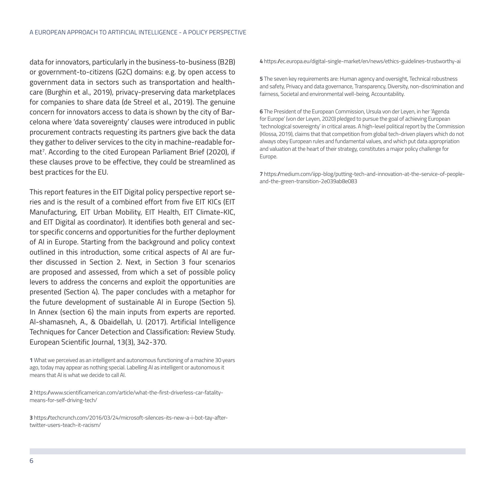data for innovators, particularly in the business-to-business (B2B) or government-to-citizens (G2C) domains: e.g. by open access to government data in sectors such as transportation and healthcare (Burghin et al., 2019), privacy-preserving data marketplaces for companies to share data (de Streel et al., 2019). The genuine concern for innovators access to data is shown by the city of Barcelona where 'data sovereignty' clauses were introduced in public procurement contracts requesting its partners give back the data they gather to deliver services to the city in machine-readable format7 . According to the cited European Parliament Brief (2020), if these clauses prove to be effective, they could be streamlined as best practices for the EU.

This report features in the EIT Digital policy perspective report series and is the result of a combined effort from five EIT KICs (EIT Manufacturing, EIT Urban Mobility, EIT Health, EIT Climate-KIC, and EIT Digital as coordinator). It identifies both general and sector specific concerns and opportunities for the further deployment of AI in Europe. Starting from the background and policy context outlined in this introduction, some critical aspects of AI are further discussed in Section 2. Next, in Section 3 four scenarios are proposed and assessed, from which a set of possible policy levers to address the concerns and exploit the opportunities are presented (Section 4). The paper concludes with a metaphor for the future development of sustainable AI in Europe (Section 5). In Annex (section 6) the main inputs from experts are reported. Al-shamasneh, A., & Obaidellah, U. (2017). Artificial Intelligence Techniques for Cancer Detection and Classification: Review Study. European Scientific Journal, 13(3), 342-370.

**1** What we perceived as an intelligent and autonomous functioning of a machine 30 years ago, today may appear as nothing special. Labelling AI as intelligent or autonomous it means that AI is what we decide to call AI.

**2** https://www.scientificamerican.com/article/what-the-first-driverless-car-fatalitymeans-for-self-driving-tech/

**3** https://techcrunch.com/2016/03/24/microsoft-silences-its-new-a-i-bot-tay-aftertwitter-users-teach-it-racism/

**4** https://ec.europa.eu/digital-single-market/en/news/ethics-guidelines-trustworthy-ai

**5** The seven key requirements are: Human agency and oversight, Technical robustness and safety, Privacy and data governance, Transparency, Diversity, non-discrimination and fairness, Societal and environmental well-being, Accountability.

**6** The President of the European Commission, Ursula von der Leyen, in her 'Agenda for Europe' (von der Leyen, 2020) pledged to pursue the goal of achieving European 'technological sovereignty' in critical areas. A high-level political report by the Commission (Klossa, 2019), claims that that competition from global tech-driven players which do not always obey European rules and fundamental values, and which put data appropriation and valuation at the heart of their strategy, constitutes a major policy challenge for Europe.

**7** https://medium.com/iipp-blog/putting-tech-and-innovation-at-the-service-of-peopleand-the-green-transition-2e039ab8e083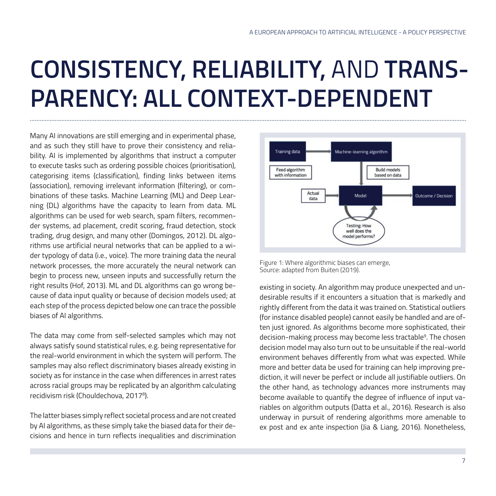### **CONSISTENCY, RELIABILITY,** AND **TRANS-PARENCY: ALL CONTEXT-DEPENDENT**

Many AI innovations are still emerging and in experimental phase, and as such they still have to prove their consistency and reliability. AI is implemented by algorithms that instruct a computer to execute tasks such as ordering possible choices (prioritisation), categorising items (classification), finding links between items (association), removing irrelevant information (filtering), or combinations of these tasks. Machine Learning (ML) and Deep Learning (DL) algorithms have the capacity to learn from data. ML algorithms can be used for web search, spam filters, recommender systems, ad placement, credit scoring, fraud detection, stock trading, drug design, and many other (Domingos, 2012). DL algorithms use artificial neural networks that can be applied to a wider typology of data (i.e., voice). The more training data the neural network processes, the more accurately the neural network can begin to process new, unseen inputs and successfully return the right results (Hof, 2013). ML and DL algorithms can go wrong because of data input quality or because of decision models used; at each step of the process depicted below one can trace the possible biases of AI algorithms.

The data may come from self-selected samples which may not always satisfy sound statistical rules, e.g. being representative for the real-world environment in which the system will perform. The samples may also reflect discriminatory biases already existing in society as for instance in the case when differences in arrest rates across racial groups may be replicated by an algorithm calculating recidivism risk (Chouldechova, 20178 ).

The latter biases simply reflect societal process and are not created by AI algorithms, as these simply take the biased data for their decisions and hence in turn reflects inequalities and discrimination



Figure 1: Where algorithmic biases can emerge, Source: adapted from Buiten (2019).

existing in society. An algorithm may produce unexpected and undesirable results if it encounters a situation that is markedly and rightly different from the data it was trained on. Statistical outliers (for instance disabled people) cannot easily be handled and are often just ignored. As algorithms become more sophisticated, their decision-making process may become less tractable9 . The chosen decision model may also turn out to be unsuitable if the real-world environment behaves differently from what was expected. While more and better data be used for training can help improving prediction, it will never be perfect or include all justifiable outliers. On the other hand, as technology advances more instruments may become available to quantify the degree of influence of input variables on algorithm outputs (Datta et al., 2016). Research is also underway in pursuit of rendering algorithms more amenable to ex post and ex ante inspection (Jia & Liang, 2016). Nonetheless,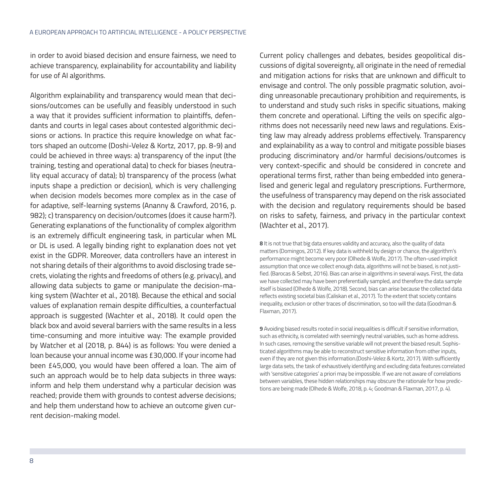in order to avoid biased decision and ensure fairness, we need to achieve transparency, explainability for accountability and liability for use of AI algorithms.

Algorithm explainability and transparency would mean that decisions/outcomes can be usefully and feasibly understood in such a way that it provides sufficient information to plaintiffs, defendants and courts in legal cases about contested algorithmic decisions or actions. In practice this require knowledge on what factors shaped an outcome (Doshi-Velez & Kortz, 2017, pp. 8-9) and could be achieved in three ways: a) transparency of the input (the training, testing and operational data) to check for biases (neutrality equal accuracy of data); b) transparency of the process (what inputs shape a prediction or decision), which is very challenging when decision models becomes more complex as in the case of for adaptive, self-learning systems (Ananny & Crawford, 2016, p. 982); c) transparency on decision/outcomes (does it cause harm?). Generating explanations of the functionality of complex algorithm is an extremely difficult engineering task, in particular when ML or DL is used. A legally binding right to explanation does not yet exist in the GDPR. Moreover, data controllers have an interest in not sharing details of their algorithms to avoid disclosing trade secrets, violating the rights and freedoms of others (e.g. privacy), and allowing data subjects to game or manipulate the decision-making system (Wachter et al., 2018). Because the ethical and social values of explanation remain despite difficulties, a counterfactual approach is suggested (Wachter et al., 2018). It could open the black box and avoid several barriers with the same results in a less time-consuming and more intuitive way: The example provided by Watcher et al (2018, p. 844) is as follows: You were denied a loan because your annual income was £30,000. If your income had been £45,000, you would have been offered a loan. The aim of such an approach would be to help data subjects in three ways: inform and help them understand why a particular decision was reached; provide them with grounds to contest adverse decisions; and help them understand how to achieve an outcome given current decision-making model.

Current policy challenges and debates, besides geopolitical discussions of digital sovereignty, all originate in the need of remedial and mitigation actions for risks that are unknown and difficult to envisage and control. The only possible pragmatic solution, avoiding unreasonable precautionary prohibition and requirements, is to understand and study such risks in specific situations, making them concrete and operational. Lifting the veils on specific algorithms does not necessarily need new laws and regulations. Existing law may already address problems effectively. Transparency and explainability as a way to control and mitigate possible biases producing discriminatory and/or harmful decisions/outcomes is very context-specific and should be considered in concrete and operational terms first, rather than being embedded into generalised and generic legal and regulatory prescriptions. Furthermore, the usefulness of transparency may depend on the risk associated with the decision and regulatory requirements should be based on risks to safety, fairness, and privacy in the particular context (Wachter et al., 2017).

**8** It is not true that big data ensures validity and accuracy, also the quality of data matters (Domingos, 2012). If key data is withheld by design or chance, the algorithm's performance might become very poor (Olhede & Wolfe, 2017). The often-used implicit assumption that once we collect enough data, algorithms will not be biased, is not justified. (Barocas & Selbst, 2016). Bias can arise in algorithms in several ways. First, the data we have collected may have been preferentially sampled, and therefore the data sample itself is biased (Olhede & Wolfe, 2018). Second, bias can arise because the collected data reflects existing societal bias (Caliskan et al., 2017). To the extent that society contains inequality, exclusion or other traces of discrimination, so too will the data (Goodman & Flaxman, 2017).

**9** Avoiding biased results rooted in social inequalities is difficult if sensitive information, such as ethnicity, is correlated with seemingly neutral variables, such as home address. In such cases, removing the sensitive variable will not prevent the biased result. Sophisticated algorithms may be able to reconstruct sensitive information from other inputs, even if they are not given this information.(Doshi-Velez & Kortz, 2017). With sufficiently large data sets, the task of exhaustively identifying and excluding data features correlated with 'sensitive categories' a priori may be impossible. If we are not aware of correlations between variables, these hidden relationships may obscure the rationale for how predictions are being made (Olhede & Wolfe, 2018, p. 4; Goodman & Flaxman, 2017, p. 4).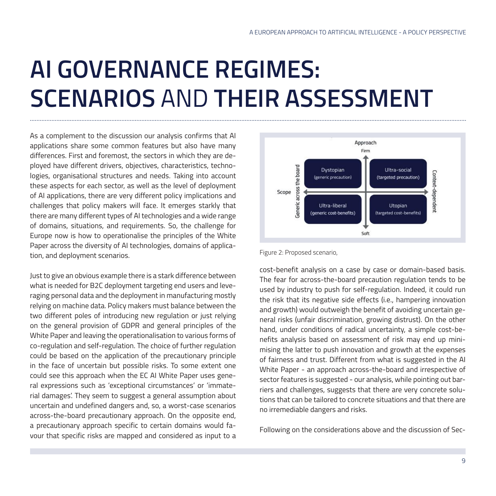## **AI GOVERNANCE REGIMES: SCENARIOS** AND **THEIR ASSESSMENT**

As a complement to the discussion our analysis confirms that AI applications share some common features but also have many differences. First and foremost, the sectors in which they are deployed have different drivers, objectives, characteristics, technologies, organisational structures and needs. Taking into account these aspects for each sector, as well as the level of deployment of AI applications, there are very different policy implications and challenges that policy makers will face. It emerges starkly that there are many different types of AI technologies and a wide range of domains, situations, and requirements. So, the challenge for Europe now is how to operationalise the principles of the White Paper across the diversity of AI technologies, domains of application, and deployment scenarios.

Just to give an obvious example there is a stark difference between what is needed for B2C deployment targeting end users and leveraging personal data and the deployment in manufacturing mostly relying on machine data. Policy makers must balance between the two different poles of introducing new regulation or just relying on the general provision of GDPR and general principles of the White Paper and leaving the operationalisation to various forms of co-regulation and self-regulation. The choice of further regulation could be based on the application of the precautionary principle in the face of uncertain but possible risks. To some extent one could see this approach when the EC AI White Paper uses general expressions such as 'exceptional circumstances' or 'immaterial damages'. They seem to suggest a general assumption about uncertain and undefined dangers and, so, a worst-case scenarios across-the-board precautionary approach. On the opposite end, a precautionary approach specific to certain domains would favour that specific risks are mapped and considered as input to a



#### Figure 2: Proposed scenario,

cost-benefit analysis on a case by case or domain-based basis. The fear for across-the-board precaution regulation tends to be used by industry to push for self-regulation. Indeed, it could run the risk that its negative side effects (i.e., hampering innovation and growth) would outweigh the benefit of avoiding uncertain general risks (unfair discrimination, growing distrust). On the other hand, under conditions of radical uncertainty, a simple cost-benefits analysis based on assessment of risk may end up minimising the latter to push innovation and growth at the expenses of fairness and trust. Different from what is suggested in the AI White Paper - an approach across-the-board and irrespective of sector features is suggested - our analysis, while pointing out barriers and challenges, suggests that there are very concrete solutions that can be tailored to concrete situations and that there are no irremediable dangers and risks.

Following on the considerations above and the discussion of Sec-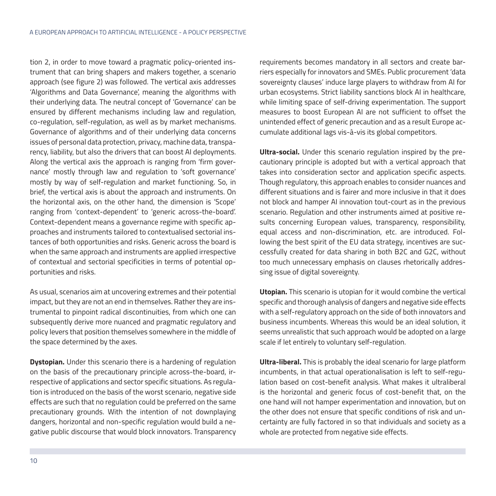tion 2, in order to move toward a pragmatic policy-oriented instrument that can bring shapers and makers together, a scenario approach (see figure 2) was followed. The vertical axis addresses 'Algorithms and Data Governance', meaning the algorithms with their underlying data. The neutral concept of 'Governance' can be ensured by different mechanisms including law and regulation, co-regulation, self-regulation, as well as by market mechanisms. Governance of algorithms and of their underlying data concerns issues of personal data protection, privacy, machine data, transparency, liability, but also the drivers that can boost AI deployments. Along the vertical axis the approach is ranging from 'firm governance' mostly through law and regulation to 'soft governance' mostly by way of self-regulation and market functioning. So, in brief, the vertical axis is about the approach and instruments. On the horizontal axis, on the other hand, the dimension is 'Scope' ranging from 'context-dependent' to 'generic across-the-board'. Context-dependent means a governance regime with specific approaches and instruments tailored to contextualised sectorial instances of both opportunities and risks. Generic across the board is when the same approach and instruments are applied irrespective of contextual and sectorial specificities in terms of potential opportunities and risks.

As usual, scenarios aim at uncovering extremes and their potential impact, but they are not an end in themselves. Rather they are instrumental to pinpoint radical discontinuities, from which one can subsequently derive more nuanced and pragmatic regulatory and policy levers that position themselves somewhere in the middle of the space determined by the axes.

**Dystopian.** Under this scenario there is a hardening of regulation on the basis of the precautionary principle across-the-board, irrespective of applications and sector specific situations. As regulation is introduced on the basis of the worst scenario, negative side effects are such that no regulation could be preferred on the same precautionary grounds. With the intention of not downplaying dangers, horizontal and non-specific regulation would build a negative public discourse that would block innovators. Transparency requirements becomes mandatory in all sectors and create barriers especially for innovators and SMEs. Public procurement 'data sovereignty clauses' induce large players to withdraw from AI for urban ecosystems. Strict liability sanctions block AI in healthcare, while limiting space of self-driving experimentation. The support measures to boost European AI are not sufficient to offset the unintended effect of generic precaution and as a result Europe accumulate additional lags vis-à-vis its global competitors.

**Ultra-social.** Under this scenario regulation inspired by the precautionary principle is adopted but with a vertical approach that takes into consideration sector and application specific aspects. Though regulatory, this approach enables to consider nuances and different situations and is fairer and more inclusive in that it does not block and hamper AI innovation tout-court as in the previous scenario. Regulation and other instruments aimed at positive results concerning European values, transparency, responsibility, equal access and non-discrimination, etc. are introduced. Following the best spirit of the EU data strategy, incentives are successfully created for data sharing in both B2C and G2C, without too much unnecessary emphasis on clauses rhetorically addressing issue of digital sovereignty.

**Utopian.** This scenario is utopian for it would combine the vertical specific and thorough analysis of dangers and negative side effects with a self-regulatory approach on the side of both innovators and business incumbents. Whereas this would be an ideal solution, it seems unrealistic that such approach would be adopted on a large scale if let entirely to voluntary self-regulation.

**Ultra-liberal.** This is probably the ideal scenario for large platform incumbents, in that actual operationalisation is left to self-regulation based on cost-benefit analysis. What makes it ultraliberal is the horizontal and generic focus of cost-benefit that, on the one hand will not hamper experimentation and innovation, but on the other does not ensure that specific conditions of risk and uncertainty are fully factored in so that individuals and society as a whole are protected from negative side effects.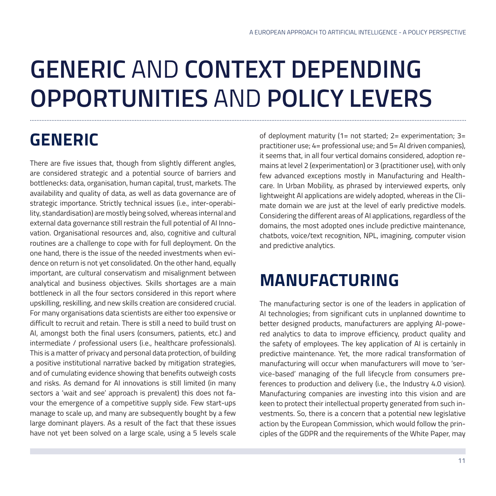## **GENERIC** AND **CONTEXT DEPENDING OPPORTUNITIES** AND **POLICY LEVERS**

### **GENERIC**

There are five issues that, though from slightly different angles, are considered strategic and a potential source of barriers and bottlenecks: data, organisation, human capital, trust, markets. The availability and quality of data, as well as data governance are of strategic importance. Strictly technical issues (i.e., inter-operability, standardisation) are mostly being solved, whereas internal and external data governance still restrain the full potential of AI Innovation. Organisational resources and, also, cognitive and cultural routines are a challenge to cope with for full deployment. On the one hand, there is the issue of the needed investments when evidence on return is not yet consolidated. On the other hand, equally important, are cultural conservatism and misalignment between analytical and business objectives. Skills shortages are a main bottleneck in all the four sectors considered in this report where upskilling, reskilling, and new skills creation are considered crucial. For many organisations data scientists are either too expensive or difficult to recruit and retain. There is still a need to build trust on AI, amongst both the final users (consumers, patients, etc.) and intermediate / professional users (i.e., healthcare professionals). This is a matter of privacy and personal data protection, of building a positive institutional narrative backed by mitigation strategies, and of cumulating evidence showing that benefits outweigh costs and risks. As demand for AI innovations is still limited (in many sectors a 'wait and see' approach is prevalent) this does not favour the emergence of a competitive supply side. Few start-ups manage to scale up, and many are subsequently bought by a few large dominant players. As a result of the fact that these issues have not yet been solved on a large scale, using a 5 levels scale

of deployment maturity (1= not started; 2= experimentation; 3= practitioner use; 4= professional use; and 5= AI driven companies), it seems that, in all four vertical domains considered, adoption remains at level 2 (experimentation) or 3 (practitioner use), with only few advanced exceptions mostly in Manufacturing and Healthcare. In Urban Mobility, as phrased by interviewed experts, only lightweight AI applications are widely adopted, whereas in the Climate domain we are just at the level of early predictive models. Considering the different areas of AI applications, regardless of the domains, the most adopted ones include predictive maintenance, chatbots, voice/text recognition, NPL, imagining, computer vision and predictive analytics.

### **MANUFACTURING**

The manufacturing sector is one of the leaders in application of AI technologies; from significant cuts in unplanned downtime to better designed products, manufacturers are applying AI-powered analytics to data to improve efficiency, product quality and the safety of employees. The key application of AI is certainly in predictive maintenance. Yet, the more radical transformation of manufacturing will occur when manufacturers will move to 'service-based' managing of the full lifecycle from consumers preferences to production and delivery (i.e., the Industry 4.0 vision). Manufacturing companies are investing into this vision and are keen to protect their intellectual property generated from such investments. So, there is a concern that a potential new legislative action by the European Commission, which would follow the principles of the GDPR and the requirements of the White Paper, may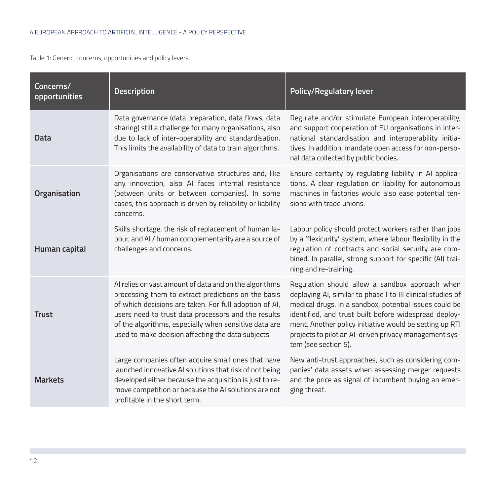Table 1: Generic: concerns, opportunities and policy levers.

| Concerns/<br>opportunities | <b>Description</b>                                                                                                                                                                                                                                                                                                                            | <b>Policy/Regulatory lever</b>                                                                                                                                                                                                                                                                                                                                                 |
|----------------------------|-----------------------------------------------------------------------------------------------------------------------------------------------------------------------------------------------------------------------------------------------------------------------------------------------------------------------------------------------|--------------------------------------------------------------------------------------------------------------------------------------------------------------------------------------------------------------------------------------------------------------------------------------------------------------------------------------------------------------------------------|
| Data                       | Data governance (data preparation, data flows, data<br>sharing) still a challenge for many organisations, also<br>due to lack of inter-operability and standardisation.<br>This limits the availability of data to train algorithms.                                                                                                          | Regulate and/or stimulate European interoperability,<br>and support cooperation of EU organisations in inter-<br>national standardisation and interoperability initia-<br>tives. In addition, mandate open access for non-perso-<br>nal data collected by public bodies.                                                                                                       |
| Organisation               | Organisations are conservative structures and, like<br>any innovation, also AI faces internal resistance<br>(between units or between companies). In some<br>cases, this approach is driven by reliability or liability<br>concerns.                                                                                                          | Ensure certainty by regulating liability in AI applica-<br>tions. A clear regulation on liability for autonomous<br>machines in factories would also ease potential ten-<br>sions with trade unions.                                                                                                                                                                           |
| Human capital              | Skills shortage, the risk of replacement of human la-<br>bour, and AI / human complementarity are a source of<br>challenges and concerns.                                                                                                                                                                                                     | Labour policy should protect workers rather than jobs<br>by a 'flexicurity' system, where labour flexibility in the<br>regulation of contracts and social security are com-<br>bined. In parallel, strong support for specific (AI) trai-<br>ning and re-training.                                                                                                             |
| <b>Trust</b>               | Al relies on vast amount of data and on the algorithms<br>processing them to extract predictions on the basis<br>of which decisions are taken. For full adoption of AI,<br>users need to trust data processors and the results<br>of the algorithms, especially when sensitive data are<br>used to make decision affecting the data subjects. | Regulation should allow a sandbox approach when<br>deploying AI, similar to phase I to III clinical studies of<br>medical drugs. In a sandbox, potential issues could be<br>identified, and trust built before widespread deploy-<br>ment. Another policy initiative would be setting up RTI<br>projects to pilot an AI-driven privacy management sys-<br>tem (see section 5). |
| <b>Markets</b>             | Large companies often acquire small ones that have<br>launched innovative AI solutions that risk of not being<br>developed either because the acquisition is just to re-<br>move competition or because the AI solutions are not<br>profitable in the short term.                                                                             | New anti-trust approaches, such as considering com-<br>panies' data assets when assessing merger requests<br>and the price as signal of incumbent buying an emer-<br>ging threat.                                                                                                                                                                                              |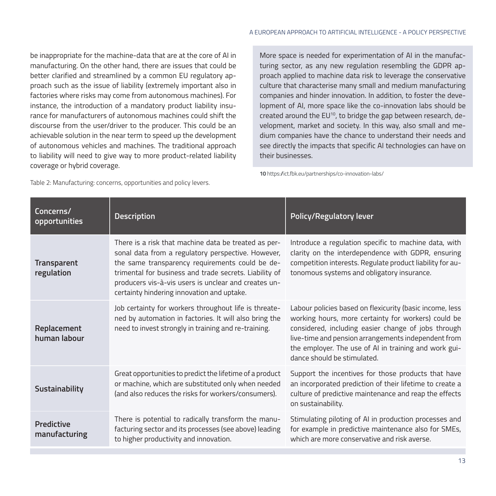be inappropriate for the machine-data that are at the core of AI in manufacturing. On the other hand, there are issues that could be better clarified and streamlined by a common EU regulatory approach such as the issue of liability (extremely important also in factories where risks may come from autonomous machines). For instance, the introduction of a mandatory product liability insurance for manufacturers of autonomous machines could shift the discourse from the user/driver to the producer. This could be an achievable solution in the near term to speed up the development of autonomous vehicles and machines. The traditional approach to liability will need to give way to more product-related liability coverage or hybrid coverage.

More space is needed for experimentation of AI in the manufacturing sector, as any new regulation resembling the GDPR approach applied to machine data risk to leverage the conservative culture that characterise many small and medium manufacturing companies and hinder innovation. In addition, to foster the development of AI, more space like the co-innovation labs should be created around the EU<sup>10</sup>, to bridge the gap between research, development, market and society. In this way, also small and medium companies have the chance to understand their needs and see directly the impacts that specific AI technologies can have on their businesses.

**10** https://ict.fbk.eu/partnerships/co-innovation-labs/

Table 2: Manufacturing: concerns, opportunities and policy levers.

| Concerns/<br>opportunities       | <b>Description</b>                                                                                                                                                                                                                                                                                                            | Policy/Regulatory lever                                                                                                                                                                                                                                                                                               |
|----------------------------------|-------------------------------------------------------------------------------------------------------------------------------------------------------------------------------------------------------------------------------------------------------------------------------------------------------------------------------|-----------------------------------------------------------------------------------------------------------------------------------------------------------------------------------------------------------------------------------------------------------------------------------------------------------------------|
| <b>Transparent</b><br>regulation | There is a risk that machine data be treated as per-<br>sonal data from a regulatory perspective. However,<br>the same transparency requirements could be de-<br>trimental for business and trade secrets. Liability of<br>producers vis-à-vis users is unclear and creates un-<br>certainty hindering innovation and uptake. | Introduce a regulation specific to machine data, with<br>clarity on the interdependence with GDPR, ensuring<br>competition interests. Regulate product liability for au-<br>tonomous systems and obligatory insurance.                                                                                                |
| Replacement<br>human labour      | Job certainty for workers throughout life is threate-<br>ned by automation in factories. It will also bring the<br>need to invest strongly in training and re-training.                                                                                                                                                       | Labour policies based on flexicurity (basic income, less<br>working hours, more certainty for workers) could be<br>considered, including easier change of jobs through<br>live-time and pension arrangements independent from<br>the employer. The use of AI in training and work gui-<br>dance should be stimulated. |
| Sustainability                   | Great opportunities to predict the lifetime of a product<br>or machine, which are substituted only when needed<br>(and also reduces the risks for workers/consumers).                                                                                                                                                         | Support the incentives for those products that have<br>an incorporated prediction of their lifetime to create a<br>culture of predictive maintenance and reap the effects<br>on sustainability.                                                                                                                       |
| Predictive<br>manufacturing      | There is potential to radically transform the manu-<br>facturing sector and its processes (see above) leading<br>to higher productivity and innovation.                                                                                                                                                                       | Stimulating piloting of AI in production processes and<br>for example in predictive maintenance also for SMEs,<br>which are more conservative and risk averse.                                                                                                                                                        |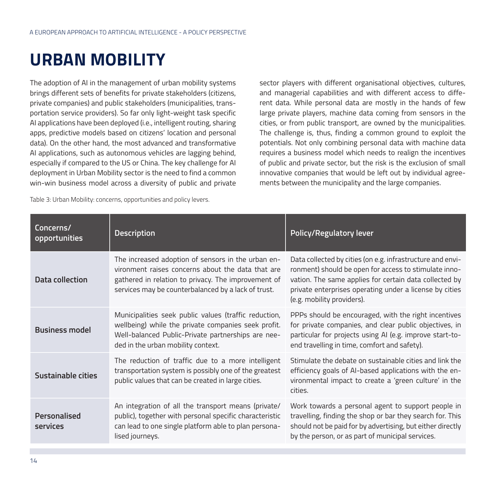### **URBAN MOBILITY**

The adoption of AI in the management of urban mobility systems brings different sets of benefits for private stakeholders (citizens, private companies) and public stakeholders (municipalities, transportation service providers). So far only light-weight task specific AI applications have been deployed (i.e., intelligent routing, sharing apps, predictive models based on citizens' location and personal data). On the other hand, the most advanced and transformative AI applications, such as autonomous vehicles are lagging behind, especially if compared to the US or China. The key challenge for AI deployment in Urban Mobility sector is the need to find a common win-win business model across a diversity of public and private sector players with different organisational objectives, cultures, and managerial capabilities and with different access to different data. While personal data are mostly in the hands of few large private players, machine data coming from sensors in the cities, or from public transport, are owned by the municipalities. The challenge is, thus, finding a common ground to exploit the potentials. Not only combining personal data with machine data requires a business model which needs to realign the incentives of public and private sector, but the risk is the exclusion of small innovative companies that would be left out by individual agreements between the municipality and the large companies.

Table 3: Urban Mobility: concerns, opportunities and policy levers.

| Concerns/<br>opportunities | <b>Description</b>                                                                                                                                                                                                    | <b>Policy/Regulatory lever</b>                                                                                                                                                                                                                                         |
|----------------------------|-----------------------------------------------------------------------------------------------------------------------------------------------------------------------------------------------------------------------|------------------------------------------------------------------------------------------------------------------------------------------------------------------------------------------------------------------------------------------------------------------------|
| Data collection            | The increased adoption of sensors in the urban en-<br>vironment raises concerns about the data that are<br>gathered in relation to privacy. The improvement of<br>services may be counterbalanced by a lack of trust. | Data collected by cities (on e.g. infrastructure and envi-<br>ronment) should be open for access to stimulate inno-<br>vation. The same applies for certain data collected by<br>private enterprises operating under a license by cities<br>(e.g. mobility providers). |
| <b>Business model</b>      | Municipalities seek public values (traffic reduction,<br>wellbeing) while the private companies seek profit.<br>Well-balanced Public-Private partnerships are nee-<br>ded in the urban mobility context.              | PPPs should be encouraged, with the right incentives<br>for private companies, and clear public objectives, in<br>particular for projects using AI (e.g. improve start-to-<br>end travelling in time, comfort and safety).                                             |
| Sustainable cities         | The reduction of traffic due to a more intelligent<br>transportation system is possibly one of the greatest<br>public values that can be created in large cities.                                                     | Stimulate the debate on sustainable cities and link the<br>efficiency goals of AI-based applications with the en-<br>vironmental impact to create a 'green culture' in the<br>cities.                                                                                  |
| Personalised<br>services   | An integration of all the transport means (private/<br>public), together with personal specific characteristic<br>can lead to one single platform able to plan persona-<br>lised journeys.                            | Work towards a personal agent to support people in<br>travelling, finding the shop or bar they search for. This<br>should not be paid for by advertising, but either directly<br>by the person, or as part of municipal services.                                      |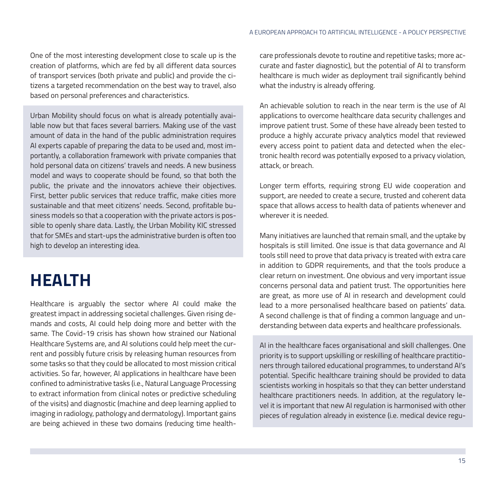One of the most interesting development close to scale up is the creation of platforms, which are fed by all different data sources of transport services (both private and public) and provide the citizens a targeted recommendation on the best way to travel, also based on personal preferences and characteristics.

Urban Mobility should focus on what is already potentially available now but that faces several barriers. Making use of the vast amount of data in the hand of the public administration requires AI experts capable of preparing the data to be used and, most importantly, a collaboration framework with private companies that hold personal data on citizens' travels and needs. A new business model and ways to cooperate should be found, so that both the public, the private and the innovators achieve their objectives. First, better public services that reduce traffic, make cities more sustainable and that meet citizens' needs. Second, profitable business models so that a cooperation with the private actors is possible to openly share data. Lastly, the Urban Mobility KIC stressed that for SMEs and start-ups the administrative burden is often too high to develop an interesting idea.

### **HEALTH**

Healthcare is arguably the sector where AI could make the greatest impact in addressing societal challenges. Given rising demands and costs, AI could help doing more and better with the same. The Covid-19 crisis has shown how strained our National Healthcare Systems are, and AI solutions could help meet the current and possibly future crisis by releasing human resources from some tasks so that they could be allocated to most mission critical activities. So far, however, AI applications in healthcare have been confined to administrative tasks (i.e., Natural Language Processing to extract information from clinical notes or predictive scheduling of the visits) and diagnostic (machine and deep learning applied to imaging in radiology, pathology and dermatology). Important gains are being achieved in these two domains (reducing time healthcare professionals devote to routine and repetitive tasks; more accurate and faster diagnostic), but the potential of AI to transform healthcare is much wider as deployment trail significantly behind what the industry is already offering.

An achievable solution to reach in the near term is the use of AI applications to overcome healthcare data security challenges and improve patient trust. Some of these have already been tested to produce a highly accurate privacy analytics model that reviewed every access point to patient data and detected when the electronic health record was potentially exposed to a privacy violation, attack, or breach.

Longer term efforts, requiring strong EU wide cooperation and support, are needed to create a secure, trusted and coherent data space that allows access to health data of patients whenever and wherever it is needed.

Many initiatives are launched that remain small, and the uptake by hospitals is still limited. One issue is that data governance and AI tools still need to prove that data privacy is treated with extra care in addition to GDPR requirements, and that the tools produce a clear return on investment. One obvious and very important issue concerns personal data and patient trust. The opportunities here are great, as more use of AI in research and development could lead to a more personalised healthcare based on patients' data. A second challenge is that of finding a common language and understanding between data experts and healthcare professionals.

AI in the healthcare faces organisational and skill challenges. One priority is to support upskilling or reskilling of healthcare practitioners through tailored educational programmes, to understand AI's potential. Specific healthcare training should be provided to data scientists working in hospitals so that they can better understand healthcare practitioners needs. In addition, at the regulatory level it is important that new AI regulation is harmonised with other pieces of regulation already in existence (i.e. medical device regu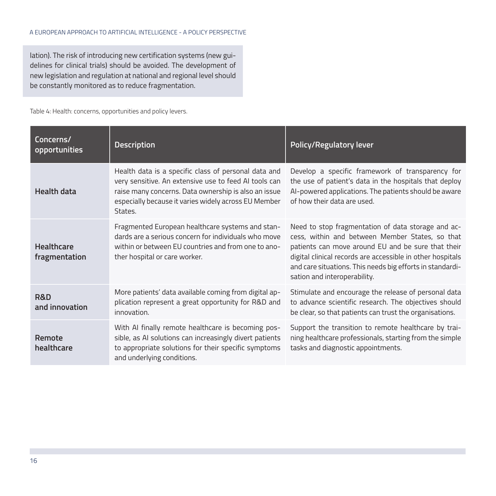lation). The risk of introducing new certification systems (new guidelines for clinical trials) should be avoided. The development of new legislation and regulation at national and regional level should be constantly monitored as to reduce fragmentation.

Table 4: Health: concerns, opportunities and policy levers.

| Concerns/<br>opportunities         | <b>Description</b>                                                                                                                                                                                                                       | <b>Policy/Regulatory lever</b>                                                                                                                                                                                                                                                                                         |
|------------------------------------|------------------------------------------------------------------------------------------------------------------------------------------------------------------------------------------------------------------------------------------|------------------------------------------------------------------------------------------------------------------------------------------------------------------------------------------------------------------------------------------------------------------------------------------------------------------------|
| <b>Health data</b>                 | Health data is a specific class of personal data and<br>very sensitive. An extensive use to feed AI tools can<br>raise many concerns. Data ownership is also an issue<br>especially because it varies widely across EU Member<br>States. | Develop a specific framework of transparency for<br>the use of patient's data in the hospitals that deploy<br>AI-powered applications. The patients should be aware<br>of how their data are used.                                                                                                                     |
| <b>Healthcare</b><br>fragmentation | Fragmented European healthcare systems and stan-<br>dards are a serious concern for individuals who move<br>within or between EU countries and from one to ano-<br>ther hospital or care worker.                                         | Need to stop fragmentation of data storage and ac-<br>cess, within and between Member States, so that<br>patients can move around EU and be sure that their<br>digital clinical records are accessible in other hospitals<br>and care situations. This needs big efforts in standardi-<br>sation and interoperability. |
| R&D<br>and innovation              | More patients' data available coming from digital ap-<br>plication represent a great opportunity for R&D and<br>innovation.                                                                                                              | Stimulate and encourage the release of personal data<br>to advance scientific research. The objectives should<br>be clear, so that patients can trust the organisations.                                                                                                                                               |
| Remote<br>healthcare               | With AI finally remote healthcare is becoming pos-<br>sible, as AI solutions can increasingly divert patients<br>to appropriate solutions for their specific symptoms<br>and underlying conditions.                                      | Support the transition to remote healthcare by trai-<br>ning healthcare professionals, starting from the simple<br>tasks and diagnostic appointments.                                                                                                                                                                  |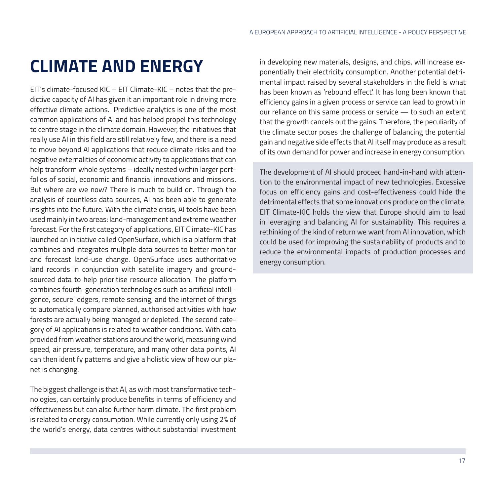#### **CLIMATE AND ENERGY**

EIT's climate-focused KIC – EIT Climate-KIC – notes that the predictive capacity of AI has given it an important role in driving more effective climate actions. Predictive analytics is one of the most common applications of AI and has helped propel this technology to centre stage in the climate domain. However, the initiatives that really use AI in this field are still relatively few, and there is a need to move beyond AI applications that reduce climate risks and the negative externalities of economic activity to applications that can help transform whole systems – ideally nested within larger portfolios of social, economic and financial innovations and missions. But where are we now? There is much to build on. Through the analysis of countless data sources, AI has been able to generate insights into the future. With the climate crisis, AI tools have been used mainly in two areas: land-management and extreme weather forecast. For the first category of applications, EIT Climate-KIC has launched an initiative called OpenSurface, which is a platform that combines and integrates multiple data sources to better monitor and forecast land-use change. OpenSurface uses authoritative land records in conjunction with satellite imagery and groundsourced data to help prioritise resource allocation. The platform combines fourth-generation technologies such as artificial intelligence, secure ledgers, remote sensing, and the internet of things to automatically compare planned, authorised activities with how forests are actually being managed or depleted. The second category of AI applications is related to weather conditions. With data provided from weather stations around the world, measuring wind speed, air pressure, temperature, and many other data points, AI can then identify patterns and give a holistic view of how our planet is changing.

The biggest challenge is that AI, as with most transformative technologies, can certainly produce benefits in terms of efficiency and effectiveness but can also further harm climate. The first problem is related to energy consumption. While currently only using 2% of the world's energy, data centres without substantial investment in developing new materials, designs, and chips, will increase exponentially their electricity consumption. Another potential detrimental impact raised by several stakeholders in the field is what has been known as 'rebound effect'. It has long been known that efficiency gains in a given process or service can lead to growth in our reliance on this same process or service — to such an extent that the growth cancels out the gains. Therefore, the peculiarity of the climate sector poses the challenge of balancing the potential gain and negative side effects that AI itself may produce as a result of its own demand for power and increase in energy consumption.

The development of AI should proceed hand-in-hand with attention to the environmental impact of new technologies. Excessive focus on efficiency gains and cost-effectiveness could hide the detrimental effects that some innovations produce on the climate. EIT Climate-KIC holds the view that Europe should aim to lead in leveraging and balancing AI for sustainability. This requires a rethinking of the kind of return we want from AI innovation, which could be used for improving the sustainability of products and to reduce the environmental impacts of production processes and energy consumption.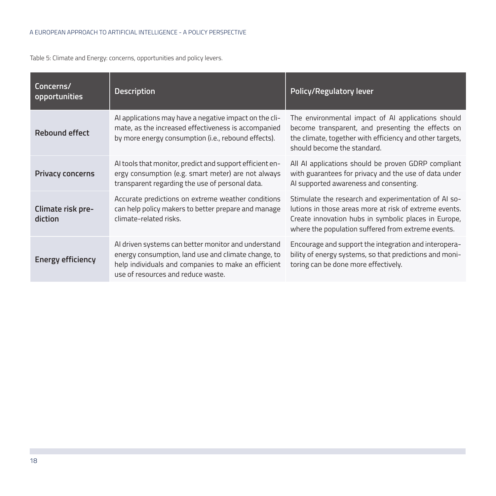#### A EUROPEAN APPROACH TO ARTIFICIAL INTELLIGENCE - A POLICY PERSPECTIVE

Table 5: Climate and Energy: concerns, opportunities and policy levers.

| Concerns/<br>opportunities   | <b>Description</b>                                                                                                                                                                                      | Policy/Regulatory lever                                                                                                                                                                                                      |
|------------------------------|---------------------------------------------------------------------------------------------------------------------------------------------------------------------------------------------------------|------------------------------------------------------------------------------------------------------------------------------------------------------------------------------------------------------------------------------|
| Rebound effect               | Al applications may have a negative impact on the cli-<br>mate, as the increased effectiveness is accompanied<br>by more energy consumption (i.e., rebound effects).                                    | The environmental impact of AI applications should<br>become transparent, and presenting the effects on<br>the climate, together with efficiency and other targets,<br>should become the standard.                           |
| <b>Privacy concerns</b>      | AI tools that monitor, predict and support efficient en-<br>ergy consumption (e.g. smart meter) are not always<br>transparent regarding the use of personal data.                                       | All AI applications should be proven GDRP compliant<br>with guarantees for privacy and the use of data under<br>AI supported awareness and consenting.                                                                       |
| Climate risk pre-<br>diction | Accurate predictions on extreme weather conditions<br>can help policy makers to better prepare and manage<br>climate-related risks.                                                                     | Stimulate the research and experimentation of AI so-<br>lutions in those areas more at risk of extreme events.<br>Create innovation hubs in symbolic places in Europe,<br>where the population suffered from extreme events. |
| Energy efficiency            | AI driven systems can better monitor and understand<br>energy consumption, land use and climate change, to<br>help individuals and companies to make an efficient<br>use of resources and reduce waste. | Encourage and support the integration and interopera-<br>bility of energy systems, so that predictions and moni-<br>toring can be done more effectively.                                                                     |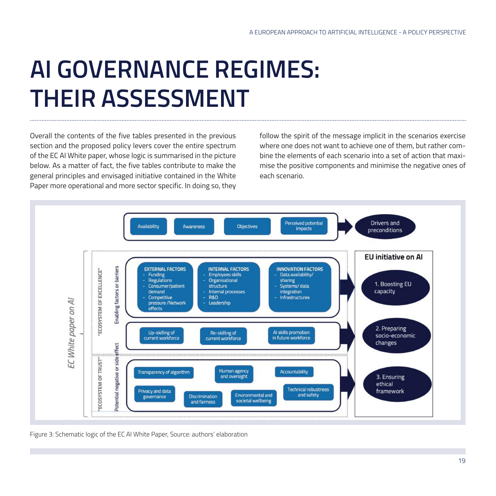### **AI GOVERNANCE REGIMES: THEIR ASSESSMENT**

Overall the contents of the five tables presented in the previous section and the proposed policy levers cover the entire spectrum of the EC AI White paper, whose logic is summarised in the picture below. As a matter of fact, the five tables contribute to make the general principles and envisaged initiative contained in the White Paper more operational and more sector specific. In doing so, they follow the spirit of the message implicit in the scenarios exercise where one does not want to achieve one of them, but rather combine the elements of each scenario into a set of action that maximise the positive components and minimise the negative ones of each scenario.



Figure 3: Schematic logic of the EC AI White Paper, Source: authors' elaboration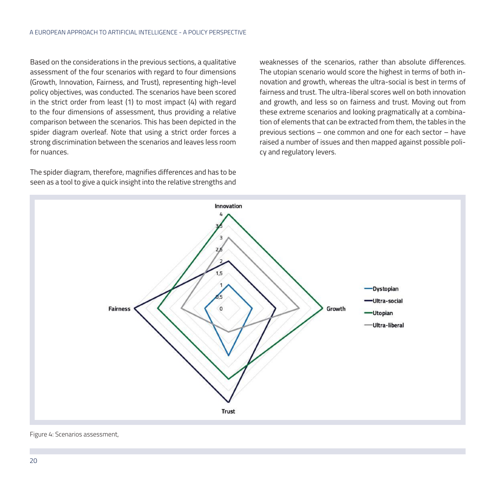Based on the considerations in the previous sections, a qualitative assessment of the four scenarios with regard to four dimensions (Growth, Innovation, Fairness, and Trust), representing high-level policy objectives, was conducted. The scenarios have been scored in the strict order from least (1) to most impact (4) with regard to the four dimensions of assessment, thus providing a relative comparison between the scenarios. This has been depicted in the spider diagram overleaf. Note that using a strict order forces a strong discrimination between the scenarios and leaves less room for nuances.

The spider diagram, therefore, magnifies differences and has to be seen as a tool to give a quick insight into the relative strengths and weaknesses of the scenarios, rather than absolute differences. The utopian scenario would score the highest in terms of both innovation and growth, whereas the ultra-social is best in terms of fairness and trust. The ultra-liberal scores well on both innovation and growth, and less so on fairness and trust. Moving out from these extreme scenarios and looking pragmatically at a combination of elements that can be extracted from them, the tables in the previous sections – one common and one for each sector – have raised a number of issues and then mapped against possible policy and regulatory levers.



Figure 4: Scenarios assessment,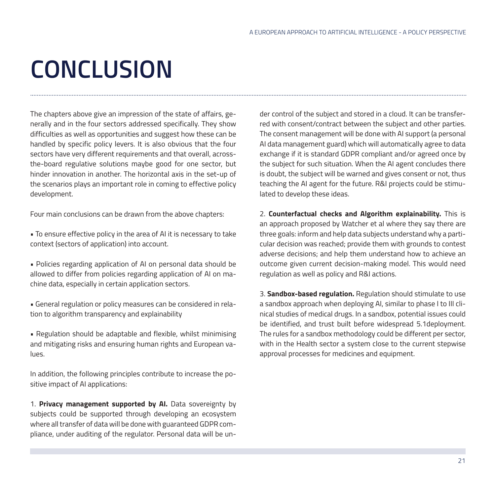# **CONCLUSION**

The chapters above give an impression of the state of affairs, generally and in the four sectors addressed specifically. They show difficulties as well as opportunities and suggest how these can be handled by specific policy levers. It is also obvious that the four sectors have very different requirements and that overall, acrossthe-board regulative solutions maybe good for one sector, but hinder innovation in another. The horizontal axis in the set-up of the scenarios plays an important role in coming to effective policy development.

Four main conclusions can be drawn from the above chapters:

- To ensure effective policy in the area of AI it is necessary to take context (sectors of application) into account.
- Policies regarding application of AI on personal data should be allowed to differ from policies regarding application of AI on machine data, especially in certain application sectors.
- General regulation or policy measures can be considered in relation to algorithm transparency and explainability
- Regulation should be adaptable and flexible, whilst minimising and mitigating risks and ensuring human rights and European values.

In addition, the following principles contribute to increase the positive impact of AI applications:

1. **Privacy management supported by AI.** Data sovereignty by subjects could be supported through developing an ecosystem where all transfer of data will be done with guaranteed GDPR compliance, under auditing of the regulator. Personal data will be under control of the subject and stored in a cloud. It can be transferred with consent/contract between the subject and other parties. The consent management will be done with AI support (a personal AI data management guard) which will automatically agree to data exchange if it is standard GDPR compliant and/or agreed once by the subject for such situation. When the AI agent concludes there is doubt, the subject will be warned and gives consent or not, thus teaching the AI agent for the future. R&I projects could be stimulated to develop these ideas.

2. **Counterfactual checks and Algorithm explainability.** This is an approach proposed by Watcher et al where they say there are three goals: inform and help data subjects understand why a particular decision was reached; provide them with grounds to contest adverse decisions; and help them understand how to achieve an outcome given current decision-making model. This would need regulation as well as policy and R&I actions.

3. **Sandbox-based regulation.** Regulation should stimulate to use a sandbox approach when deploying AI, similar to phase I to III clinical studies of medical drugs. In a sandbox, potential issues could be identified, and trust built before widespread 5.1deployment. The rules for a sandbox methodology could be different per sector, with in the Health sector a system close to the current stepwise approval processes for medicines and equipment.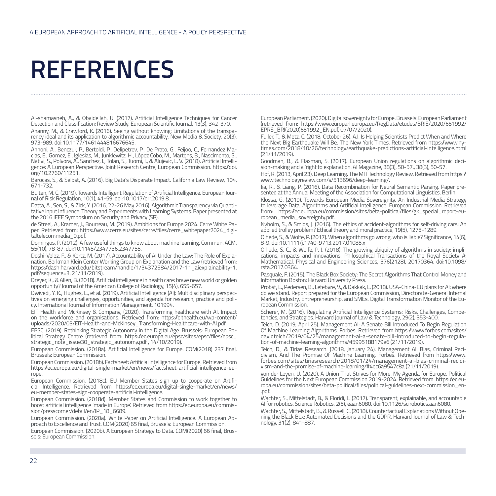### **REFERENCES**

Al-shamasneh, A., & Obaidellah, U. (2017). Artificial Intelligence Techniques for Cancer Detection and Classification: Review Study. European Scientific Journal, 13(3), 342-370. Ananny, M., & Crawford, K. (2016). Seeing without knowing: Limitations of the transpa-

rency ideal and its application to algorithmic accountability. New Media & Society, 20(3), 973-989. doi:10.1177/1461444816676645.<br>Annoni, A., Benczur, P., Bertoldi, P., Delipetrev, P., De Prato, G., Feijoo, C., Fernandez Ma-

cias, E., Gomez, E., Iglesias, M., Junklewitz, H., López Cobo, M., Martens, B., Nascimento, S.,<br>Nativi, S., Polvora, A., Sanchez, I., Tolan, S., Tuomi, I., & Alujevic, L. V. (2018). Artificial Intelligence: A. European Perspective. Joint Research Centre, European Commission. https://doi. org/10.2760/11251.

Barocas, S., & Selbst, A. (2016). Big Data's Disparate Impact. California Law Review, 104, 671-732.

Buiten, M. C. (2019). Towards Intelligent Regulation of Artificial Intelligence. European Jour-<br>nal of Risk Regulation, 10(1), 41-59. doi:10.1017/err.2019.8.<br>Datta, A., Sen, S., & Zick, Y. (2016, 22-26 May 2016). Algorithm

tative Input Influence: Theory and Experiments with Learning Systems. Paper presented at the 2016 IEEE Symposium on Security and Privacy (SP).

de Streel, A., Kramer, J., Bourreau, M. (2019). Ambitions for Europe 2024. Cerre White Paper. Retrieved from: https://www.cerre.eu/sites/cerre/files/cerre\_whitepaper2024\_digitaltelecommedia\_0.pdf.

Domingos, P. (2012). A few useful things to know about machine learning. Commun. ACM, 55(10), 78-87. doi:10.1145/2347736.2347755.

Doshi-Velez, F., & Kortz, M. (2017). Accountability of AI Under the Law: The Role of Expla- nation. Berkman Klein Center Working Group on Explanation and the Law (retrieved from: https://dash.harvard.edu/bitstream/handle/1/34372584/2017-11\_aiexplainability-1. pdf?sequence=3, 21/11/2019).

Dreyer, K., & Allen, B. (2018). Artificial intelligence in health care: brave new world or golden opportunity? Journal of the American College of Radiology, 15(4), 655-657.

Dwivedi, Y. K., Hughes, L., et al. (2019). Artificial Intelligence (AI): Multidisciplinary perspectives (1)<br>tives on emerging challenges, opportunities, and agenda for research, practice and poli-<br>cy. International Journal

EIT Health and McKinsey & Company, (2020), Transforming healthcare with AI. Impact on the workforce and organisations. Retrieved from: https://eithealth.eu/wp-content/ uploads/2020/03/EIT-Health-and-McKinsey\_Transforming-Healthcare-with-AI.pdf.

EPSC. (2019). Rethinking Strategic Autonomy in the Digital Age. Brussels: European Po- litical Strategy Centre (retrieved from: https://ec.europa.eu/epsc/sites/epsc/files/epsc\_ strategic\_note\_issue30\_strategic\_autonomy.pdf, 14/10/2019).

European Commission. (2018a). Artificial Intelligence for Europe. COM(2018) 237 final, Brussels: European Commission.

European Commission. (2018b). Factsheet: Artificial intelligence for Europe. Retrieved from https://ec.europa.eu/digital-single-market/en/news/factsheet-artificial-intelligence-europe.

European Commission. (2018c). EU Member States sign up to cooperate on Artifi- cial Intelligence. Retrieved from https://ec.europa.eu/digital-single-market/en/news/ eu-member-states-sign-cooperate-artificial-intelligence.

European Commission. (2018d). Member States and Commission to work together to boost artificial intelligence 'made in Europe'. Retrieved from https://ec.europa.eu/commis- sion/presscorner/detail/en/IP\_18\_6689.

European Commission. (2020a). White Paper on Artificial Intelligence. A European Approach to Excellence and Trust. COM(2020) 65 final, Brussels: European Commission.

European Commission. (2020b). A European Strategy to Data. COM(2020) 66 final, Brus- sels: European Commission.

European Parliament. (2020). Digital sovereignty for Europe. Brussels: European Parliament (retrieved from: https://www.europarl.europa.eu/RegData/etudes/BRIE/2020/651992/ EPRS\_BRI(2020)651992\_EN.pdf, 07/07/2020).

Fuller, T., & Metz, C. (2018, October 26). A.I. Is Helping Scientists Predict When and Where times.com/2018/10/26/technology/earthquake-predictions-artificial-intelligence.html (21/11/2019).

Goodman, B., & Flaxman, S. (2017). European Union regulations on algorithmic deci- sion-making and a 'right to explanation. AI Magazine, 38(3), 50-57., 38(3), 50-57.

Hof, R. (2013, April 23). Deep Learning. The MIT Technology Review. Retrieved from https:// www.technologyreview.com/s/513696/deep-learning/.

Jia, R., & Liang, P. (2016). Data Recombination for Neural Semantic Parsing. Paper pre-<br>sented at the Annual Meeting of the Association for Computational Linguistics, Berlin.

Klossa, G. (2019). Towards European Media Sovereignity. An Industrial Media Strategy to leverage Data, Algorithms and Artificial Intelligence. European Commission. Retrieved from: https://ec.europa.eu/commission/sites/beta-political/files/gk\_special\_report-eu- ropean\_media\_sovereignty.pdf.

Nyholm, S., & Smids, J. (2016). The ethics of accident-algorithms for self-driving cars: An applied trolley problem? Ethical theory and moral practice, 19(5), 1275-1289.

Olhede, S., & Wolfe, P. (2017). When algorithms go wrong, who is liable? Significance, 14(6), 8-9. doi:10.1111/j.1740-9713.2017.01085.x

Olhede, S. C., & Wolfe, P. J. (2018). The growing ubiquity of algorithms in society: impli- cations, impacts and innovations. Philosophical Transactions of the Royal Society A: Mathematical, Physical and Engineering Sciences, 376(2128), 20170364. doi:10.1098/ rsta.2017.0364.

Pasquale, F. (2015). The Black Box Society: The Secret Algorithms That Control Money and Information Boston: Harvard University Press.

Probst, L., Pedersen, B., Lefebvre, V., & Dakkak, L. (2018). USA-China-EU plans for AI: where do we stand. Report prepared for the European Commission, Directorate-General Internal Market, Industry, Entrepreneurship, and SMEs, Digital Transformation Monitor of the Eu-

ropean Commission.<br>Scherer, M. (2016). Regulating Artificial Intelligence Systems: Risks, Challenges, Competencies, and Strategies. Harvard Journal of Law & Technology, 29(2), 353-400.

Teich, D. (2019, April 25). Management AI: A Senate Bill Introduced To Begin Regulation Of Machine Learning Algorithms. Forbes. Retrieved from https://www.forbes.com/sites/ davidteich/2019/04/25/management-ai-a-senate-bill-introduced-to-begin-regulation-of-machine-learning-algorithms/#5995188179e6 (21/11/2019).

Teich, D., & Tirias Research. (2018, January 24). Management AI: Bias, Criminal Reci- divism, And The Promise Of Machine Learning. Forbes. Retrieved from https://www. forbes.com/sites/tiriasresearch/2018/01/24/management-ai-bias-criminal-recidi- vism-and-the-promise-of-machine-learning/#4ec6a9547c8a (21/11/2019).

von der Leyen, U. (2020). A Union That Strives for More. My Agenda for Europe. Political Guidelines for the Next European Commission 2019-2024. Retrieved from: https://ec.europa.eu/commission/sites/beta-political/files/political-guidelines-next-commission\_en- .pdf.

Wachter, S., Mittelstadt, B., & Floridi, L. (2017). Transparent, explainable, and accountable AI for robotics. Science Robotics, 2(6), eaan6080. doi:10.1126/scirobotics.aan6080.

Wachter, S., Mittelstadt, B., & Russell, C. (2018). Counterfactual Explanations Without Opening the Black Box: Automated Decisions and the GDPR. Harvard Journal of Law & Technology, 31(2), 841-887.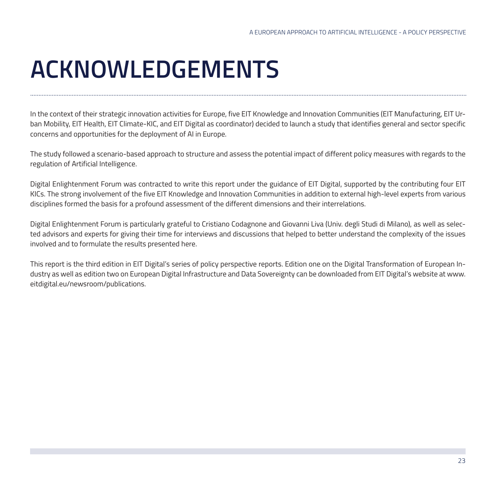## **ACKNOWLEDGEMENTS**

In the context of their strategic innovation activities for Europe, five EIT Knowledge and Innovation Communities (EIT Manufacturing, EIT Urban Mobility, EIT Health, EIT Climate-KIC, and EIT Digital as coordinator) decided to launch a study that identifies general and sector specific concerns and opportunities for the deployment of AI in Europe.

The study followed a scenario-based approach to structure and assess the potential impact of different policy measures with regards to the regulation of Artificial Intelligence.

Digital Enlightenment Forum was contracted to write this report under the guidance of EIT Digital, supported by the contributing four EIT KICs. The strong involvement of the five EIT Knowledge and Innovation Communities in addition to external high-level experts from various disciplines formed the basis for a profound assessment of the different dimensions and their interrelations.

Digital Enlightenment Forum is particularly grateful to Cristiano Codagnone and Giovanni Liva (Univ. degli Studi di Milano), as well as selected advisors and experts for giving their time for interviews and discussions that helped to better understand the complexity of the issues involved and to formulate the results presented here.

This report is the third edition in EIT Digital's series of policy perspective reports. Edition one on the Digital Transformation of European Industry as well as edition two on European Digital Infrastructure and Data Sovereignty can be downloaded from EIT Digital's website at www. eitdigital.eu/newsroom/publications.